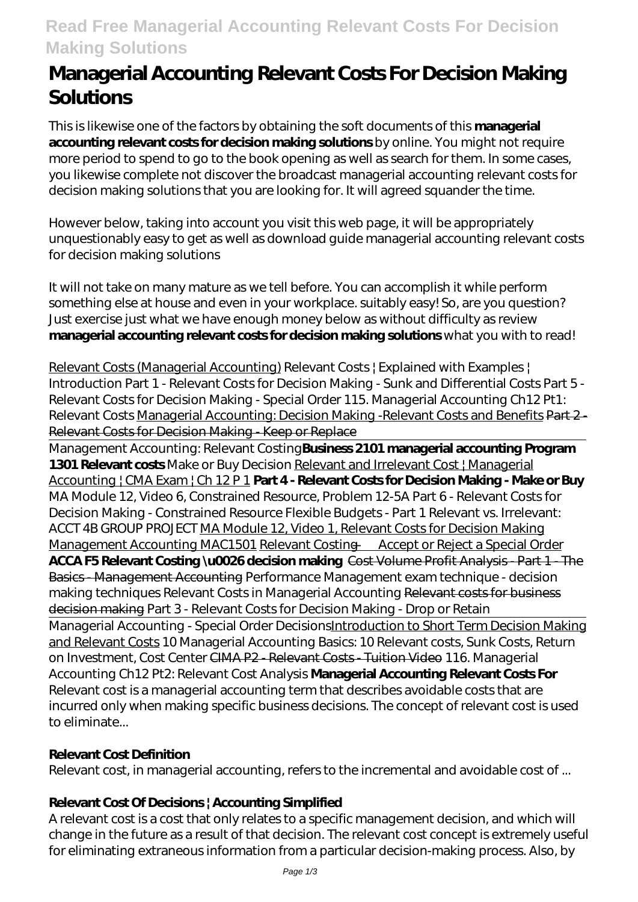# **Read Free Managerial Accounting Relevant Costs For Decision Making Solutions**

# **Managerial Accounting Relevant Costs For Decision Making Solutions**

This is likewise one of the factors by obtaining the soft documents of this **managerial** accounting relevant costs for decision making solutionsby online. You might not require more period to spend to go to the book opening as well as search for them. In some cases, you likewise complete not discover the broadcast managerial accounting relevant costs for decision making solutions that you are looking for. It will agreed squander the time.

However below, taking into account you visit this web page, it will be appropriately unquestionably easy to get as well as download guide managerial accounting relevant costs for decision making solutions

It will not take on many mature as we tell before. You can accomplish it while perform something else at house and even in your workplace. suitably easy! So, are you question? Just exercise just what we have enough money below as without difficulty as review **managerial accounting relevant costs for decision making solutions** what you with to read!

Relevant Costs (Managerial Accounting) *Relevant Costs | Explained with Examples | Introduction Part 1 - Relevant Costs for Decision Making - Sunk and Differential Costs Part 5 - Relevant Costs for Decision Making - Special Order 115. Managerial Accounting Ch12 Pt1: Relevant Costs* Managerial Accounting: Decision Making -Relevant Costs and Benefits Part 2 - Relevant Costs for Decision Making - Keep or Replace

Management Accounting: Relevant Costing**Business 2101 managerial accounting Program 1301 Relevant costs** *Make or Buy Decision* Relevant and Irrelevant Cost | Managerial Accounting | CMA Exam | Ch 12 P 1 **Part 4 - Relevant Costs for Decision Making - Make or Buy** MA Module 12, Video 6, Constrained Resource, Problem 12-5A *Part 6 - Relevant Costs for Decision Making - Constrained Resource Flexible Budgets - Part 1 Relevant vs. Irrelevant: ACCT 4B GROUP PROJECT* MA Module 12, Video 1, Relevant Costs for Decision Making Management Accounting MAC1501 Relevant Costing — Accept or Reject a Special Order **ACCA F5 Relevant Costing \u0026 decision making** Cost Volume Profit Analysis - Part 1 - The Basics - Management Accounting *Performance Management exam technique - decision making techniques* Relevant Costs in Managerial Accounting Relevant costs for business decision making *Part 3 - Relevant Costs for Decision Making - Drop or Retain* Managerial Accounting - Special Order Decisions*Introduction to Short Term Decision Making* and Relevant Costs *10 Managerial Accounting Basics: 10 Relevant costs, Sunk Costs, Return on Investment, Cost Center* CIMA P2 - Relevant Costs - Tuition Video *116. Managerial Accounting Ch12 Pt2: Relevant Cost Analysis* **Managerial Accounting Relevant Costs For** Relevant cost is a managerial accounting term that describes avoidable costs that are incurred only when making specific business decisions. The concept of relevant cost is used to eliminate...

#### **Relevant Cost Definition**

Relevant cost, in managerial accounting, refers to the incremental and avoidable cost of ...

#### **Relevant Cost Of Decisions | Accounting Simplified**

A relevant cost is a cost that only relates to a specific management decision, and which will change in the future as a result of that decision. The relevant cost concept is extremely useful for eliminating extraneous information from a particular decision-making process. Also, by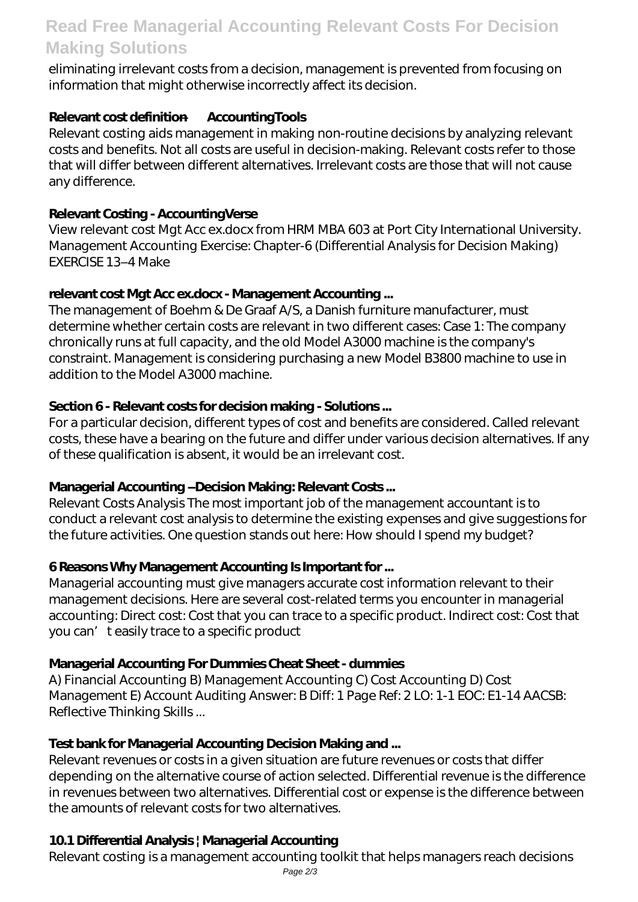# **Read Free Managerial Accounting Relevant Costs For Decision Making Solutions**

eliminating irrelevant costs from a decision, management is prevented from focusing on information that might otherwise incorrectly affect its decision.

### **Relevant cost definition — AccountingTools**

Relevant costing aids management in making non-routine decisions by analyzing relevant costs and benefits. Not all costs are useful in decision-making. Relevant costs refer to those that will differ between different alternatives. Irrelevant costs are those that will not cause any difference.

### **Relevant Costing - AccountingVerse**

View relevant cost Mgt Acc ex.docx from HRM MBA 603 at Port City International University. Management Accounting Exercise: Chapter-6 (Differential Analysis for Decision Making) EXERCISE 13–4 Make

#### **relevant cost Mgt Acc ex.docx - Management Accounting ...**

The management of Boehm & De Graaf A/S, a Danish furniture manufacturer, must determine whether certain costs are relevant in two different cases: Case 1: The company chronically runs at full capacity, and the old Model A3000 machine is the company's constraint. Management is considering purchasing a new Model B3800 machine to use in addition to the Model A3000 machine.

#### **Section 6 - Relevant costs for decision making - Solutions ...**

For a particular decision, different types of cost and benefits are considered. Called relevant costs, these have a bearing on the future and differ under various decision alternatives. If any of these qualification is absent, it would be an irrelevant cost.

#### **Managerial Accounting –Decision Making: Relevant Costs ...**

Relevant Costs Analysis The most important job of the management accountant is to conduct a relevant cost analysis to determine the existing expenses and give suggestions for the future activities. One question stands out here: How should I spend my budget?

# **6 Reasons Why Management Accounting Is Important for ...**

Managerial accounting must give managers accurate cost information relevant to their management decisions. Here are several cost-related terms you encounter in managerial accounting: Direct cost: Cost that you can trace to a specific product. Indirect cost: Cost that you can' t easily trace to a specific product

# **Managerial Accounting For Dummies Cheat Sheet - dummies**

A) Financial Accounting B) Management Accounting C) Cost Accounting D) Cost Management E) Account Auditing Answer: B Diff: 1 Page Ref: 2 LO: 1-1 EOC: E1-14 AACSB: Reflective Thinking Skills ...

# **Test bank for Managerial Accounting Decision Making and ...**

Relevant revenues or costs in a given situation are future revenues or costs that differ depending on the alternative course of action selected. Differential revenue is the difference in revenues between two alternatives. Differential cost or expense is the difference between the amounts of relevant costs for two alternatives.

# **10.1 Differential Analysis | Managerial Accounting**

Relevant costing is a management accounting toolkit that helps managers reach decisions